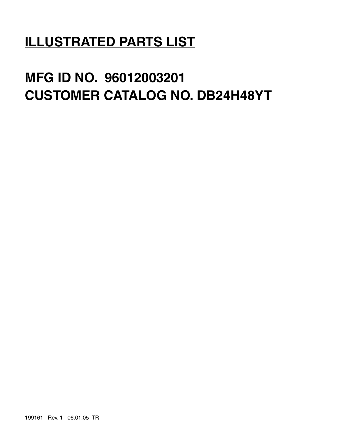# **ILLUSTRATED PARTS LIST**

# **MFG ID NO. 96012003201 CUSTOMER CATALOG NO. DB24H48YT**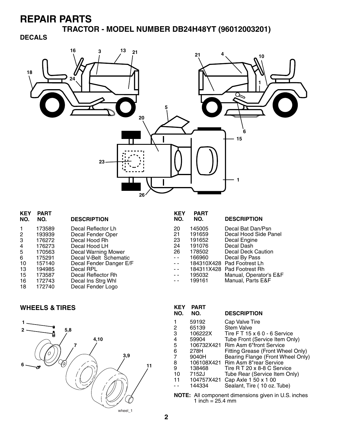**TRACTOR - MODEL NUMBER DB24H48YT (96012003201)**

#### **DECALS**



| <b>KEY</b><br>NO. | <b>PART</b><br>NO. | <b>DESCRIPTION</b>         |
|-------------------|--------------------|----------------------------|
|                   | 173589             | Decal Reflector Lh         |
| 2                 | 193939             | Decal Fender Oper          |
| 3                 | 176272             | Decal Hood Rh              |
| 4                 | 176273             | Decal Hood LH              |
| 5                 | 170563             | <b>Decal Warning Mower</b> |
| 6                 | 175291             | Decal V-Belt Schematic     |
| 10                | 157140             | Decal Fender Danger E/F    |
| 13                | 194985             | Decal RPL                  |
| 15                | 173587             | Decal Reflector Rh         |
| 16                | 172743             | Decal Ins Strg Whl         |
| 18                | 172740             | Decal Fender Logo          |
|                   |                    |                            |

#### **WHEELS & TIRES**



| <b>KEY</b><br>NO. | <b>PART</b><br>NO. | <b>DESCRIPTION</b>     |
|-------------------|--------------------|------------------------|
| 20                | 145005             | Decal Bat Dan/Psn      |
| 21                | 191659             | Decal Hood Side Panel  |
| 23                | 191652             | Decal Engine           |
| 24                | 191076             | Decal Dash             |
| 26                | 178502             | Decal Deck Caution     |
| $\sim$ $\sim$     | 166960             | Decal By Pass          |
| $\sim$            | 184310X428         | Pad Footrest Lh        |
| $\sim$ $\sim$     | 184311X428         | Pad Footrest Rh        |
|                   | 195032             | Manual, Operator's E&F |
|                   | 199161             | Manual, Parts E&F      |

| <b>PART</b><br>NO. | <b>DESCRIPTION</b>                 |
|--------------------|------------------------------------|
| 59192              | Cap Valve Tire                     |
| 65139              | <b>Stem Valve</b>                  |
| 106222X            | Tire $FT 15 \times 60 - 6$ Service |
| 59904              | Tube Front (Service Item Only)     |
| 106732X421         | <b>Rim Asm 6"front Service</b>     |
| 278H               | Fitting Grease (Front Wheel Only)  |
| 9040H              | Bearing Flange (Front Wheel Only)  |
| 106108X421         | Rim Asm 8"rear Service             |
| 138468             | Tire R T 20 x 8-8 C Service        |
| 7152J              | Tube Rear (Service Item Only)      |
| 104757X421         | Cap Axle 1 50 x 1 00               |
| 144334             | Sealant, Tire (10 oz. Tube)        |
|                    |                                    |

**NOTE:** All component dimensions given in U.S. inches 1 inch = 25.4 mm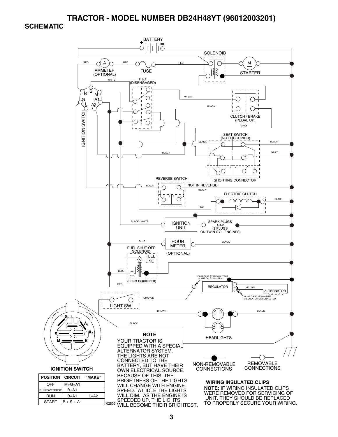#### **TRACTOR - MODEL NUMBER DB24H48YT (96012003201)**

#### **SCHEMATIC**

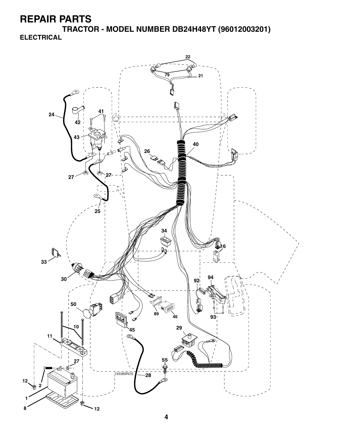**TRACTOR - MODEL NUMBER DB24H48YT (96012003201) ELECTRICAL**

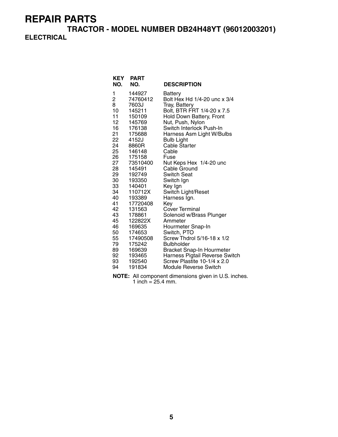**TRACTOR - MODEL NUMBER DB24H48YT (96012003201) ELECTRICAL**

| <b>KEY</b><br>NO. | <b>PART</b><br>NO. | <b>DESCRIPTION</b>                        |
|-------------------|--------------------|-------------------------------------------|
| 1                 | 144927             | Battery                                   |
| 2                 | 74760412           | Bolt Hex Hd 1/4-20 unc x 3/4              |
| 8                 | 7603J              | Tray, Battery                             |
| 10                | 145211             | Bolt, BTR FRT 1/4-20 x 7.5                |
| 11                | 150109             | Hold Down Battery, Front                  |
| 12                | 145769             | Nut, Push, Nylon                          |
| 16                | 176138             | Switch Interlock Push-In                  |
| 21                | 175688             | Harness Asm Light W/Bulbs                 |
| 22                | 4152J              | <b>Bulb Light</b>                         |
| 24                | 8860R              | <b>Cable Starter</b>                      |
| 25                | 146148             | Cable                                     |
| 26                | 175158             | Fuse                                      |
| 27                | 73510400           | Nut Keps Hex 1/4-20 unc                   |
| 28                | 145491             | Cable Ground                              |
| 29                | 192749             | Switch Seat                               |
| 30                | 193350             | Switch Ign                                |
| 33                | 140401             | Key Ign                                   |
| 34                | 110712X            | Switch Light/Reset                        |
| 40                | 193389             | Harness Ign.                              |
| 41                | 17720408           | Key                                       |
| 42                | 131563             | Cover Terminal                            |
| 43                | 178861             | Solenoid w/Brass Plunger                  |
| 45                | 122822X            | Ammeter                                   |
| 46                | 169635             | Hourmeter Snap-In                         |
| 50<br>55          | 174653             | Switch, PTO<br>Screw Thdrol 5/16-18 x 1/2 |
| 79                | 17490508           | <b>Bulbholder</b>                         |
| 89                | 175242<br>169639   | Bracket Snap-In Hourmeter                 |
| 92                | 193465             | Harness Pigtail Reverse Switch            |
| 93                | 192540             | Screw Plastite 10-1/4 x 2.0               |
| 94                | 191834             | <b>Module Reverse Switch</b>              |
|                   |                    |                                           |

**NOTE:** All component dimensions given in U.S. inches. 1 inch =  $25.4$  mm.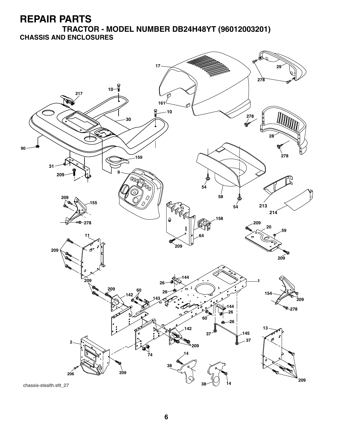**TRACTOR - MODEL NUMBER DB24H48YT (96012003201) CHASSIS AND ENCLOSURES**

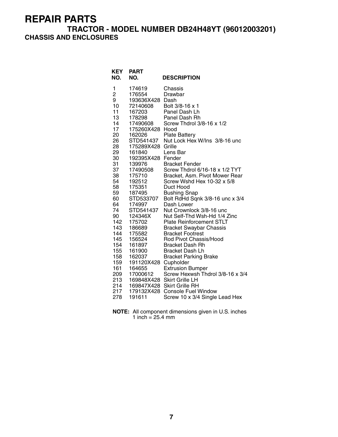#### **TRACTOR - MODEL NUMBER DB24H48YT (96012003201) CHASSIS AND ENCLOSURES**

| <b>KEY</b><br><b>PART</b><br>NO.<br>NO. |                           | <b>DESCRIPTION</b>                      |
|-----------------------------------------|---------------------------|-----------------------------------------|
| 1                                       | 174619                    | Chassis                                 |
| $\overline{c}$<br>9                     | 176554<br>193636X428 Dash | Drawbar                                 |
| 10                                      | 72140608                  | Bolt 3/8-16 x 1                         |
| 11                                      | 167203                    | Panel Dash Lh                           |
| 13                                      | 178298                    | Panel Dash Rh                           |
| 14                                      | 17490608                  | Screw Thdrol 3/8-16 x 1/2               |
| 17                                      | 175260X428                | Hood                                    |
| 20                                      | 162026                    | <b>Plate Battery</b>                    |
| 26                                      | STD541437                 | Nut Lock Hex W/Ins 3/8-16 unc           |
| 28                                      | 175289X428                | Grille                                  |
| 29                                      | 161840                    | Lens Bar                                |
| 30                                      | 192395X428                | Fender                                  |
| 31                                      | 139976                    | <b>Bracket Fender</b>                   |
| 37                                      | 17490508                  | Screw Thdrol 6/16-18 x 1/2 TYT          |
| 38                                      | 175710<br>192512          | Bracket, Asm. Pivot Mower Rear          |
| 54<br>58                                | 175351                    | Screw Wshd Hex 10-32 x 5/8<br>Duct Hood |
| 59                                      | 187495                    | <b>Bushing Snap</b>                     |
| 60                                      | STD533707                 | Bolt RdHd Sqnk 3/8-16 unc x 3/4         |
| 64                                      | 174997                    | Dash Lower                              |
| 74                                      | STD541437                 | Nut Crownlock 3/8-16 unc                |
| 90                                      | 124346X                   | Nut Self-Thd Wsh-Hd 1/4 Zinc            |
| 142                                     | 175702                    | <b>Plate Reinforcement STLT</b>         |
| 143                                     | 186689                    | <b>Bracket Swaybar Chassis</b>          |
| 144                                     | 175582                    | <b>Bracket Footrest</b>                 |
| 145                                     | 156524                    | Rod Pivot Chassis/Hood                  |
| 154                                     | 161897                    | <b>Bracket Dash Rh</b>                  |
| 155                                     | 161900                    | <b>Bracket Dash Lh</b>                  |
| 158                                     | 162037                    | <b>Bracket Parking Brake</b>            |
| 159<br>161                              | 191120X428<br>164655      | Cupholder<br><b>Extrusion Bumper</b>    |
| 209                                     | 17000612                  | Screw Hexwsh Thdrol 3/8-16 x 3/4        |
| 213                                     |                           | 169848X428 Skirt Grille LH              |
| 214                                     |                           | 169847X428 Skirt Grille RH              |
| 217                                     |                           | 179132X428 Console Fuel Window          |
| 278                                     | 191611                    | Screw 10 x 3/4 Single Lead Hex          |

**NOTE:** All component dimensions given in U.S. inches 1 inch = 25.4 mm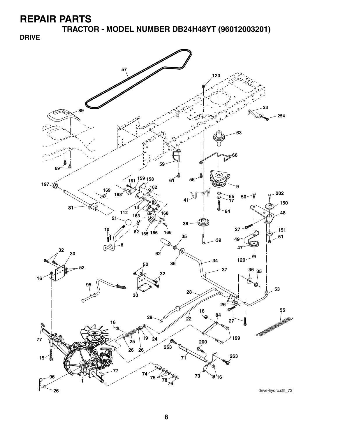**TRACTOR - MODEL NUMBER DB24H48YT (96012003201)**

**DRIVE**

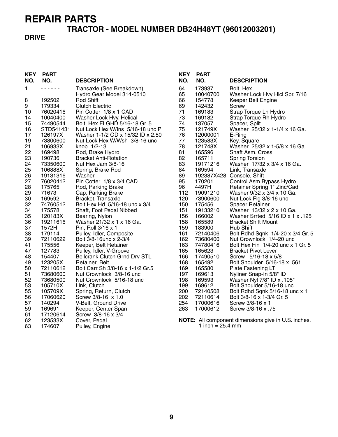## **TRACTOR - MODEL NUMBER DB24H48YT (96012003201)**

#### **DRIVE**

| <b>KEY</b><br>NO. | <b>PART</b><br>NO. | <b>DESCRIPTION</b>                   | <b>KEY</b><br>NO. | <b>PART</b><br>NO.           | <b>DESCRIPTION</b>                                         |
|-------------------|--------------------|--------------------------------------|-------------------|------------------------------|------------------------------------------------------------|
| 1                 | .                  | Transaxle (See Breakdown)            | 64                | 173937                       | Bolt, Hex                                                  |
|                   |                    | Hydro Gear Model 314-0510            | 65                | 10040700                     | Washer Lock Hvy Hlcl Spr. 7/16                             |
| 8                 | 192502             | Rod Shift                            | 66                | 154778                       | Keeper Belt Engine                                         |
| 9                 | 179334             | <b>Clutch Electric</b>               | 69                | 142432                       | Screw                                                      |
| 10                | 76020416           | Pin Cotter 1/8 x 1 CAD               | 71                | 169183                       | Strap Torque Lh Hydro                                      |
| 14                | 10040400           | Washer Lock Hvy. Helical             | 73                | 169182                       | Strap Torque Rh Hydro                                      |
| 15                | 74490544           | Bolt, Hex FLGHD 5/16-18 Gr. 5        | 74                | 137057                       | Spacer, Split                                              |
| 16                | STD541431          | Nut Lock Hex W/Ins 5/16-18 unc P     | 75                | 121749X                      | Washer 25/32 x 1-1/4 x 16 Ga.                              |
| 17                | 126197X            | Washer 1-1/2 OD x 15/32 ID x 2.50    | 76                | 12000001                     | E-Ring                                                     |
| 19                | 73800600           | Nut Lock Hex W/Wsh 3/8-16 unc        | 77                | 123583X                      | Key, Square                                                |
| 21                | 106933X            | knob 1/2-13                          | 78                | 121748X                      | Washer 25/32 x 1-5/8 x 16 Ga.                              |
| 22                | 169498             | Rod, Brake Hydro                     | 81                | 165596                       | Shaft Asm. Cross                                           |
| 23                | 190736             | <b>Bracket Anti-Rotation</b>         | 82                | 165711                       | <b>Spring Torsion</b>                                      |
| 24                | 73350600           | Nut Hex Jam 3/8-16                   | 83                | 19171216                     | Washer 17/32 x 3/4 x 16 Ga.                                |
| 25                | 106888X            | Spring, Brake Rod                    | 84                | 169594                       | Link, Transaxle                                            |
| 26                | 19131316           | Washer                               | 89                |                              | 192387X428 Console, Shift                                  |
| 27                | 76020412           | Pin Cotter 1/8 x 3/4 CAD.            | 95                | 170201                       | Control Asm Bypass Hydro                                   |
| 28                | 175765             | Rod, Parking Brake                   | 96                | 4497H                        | Retainer Spring 1" Zinc/Cad                                |
| 29                | 71673              | Cap, Parking Brake                   | 112               | 19091210                     | Washer 9/32 x 3/4 x 10 Ga.                                 |
| 30                | 169592             | Bracket, Transaxle                   | 120               | 73900600                     | Nut Lock Flg 3/8-16 unc                                    |
| 32                | 74760512           | Bolt Hex Hd 5/16-18 unc x 3/4        | 150               | 175456                       | <b>Spacer Retainer</b>                                     |
| 34                | 175578             | Shaft, Foot Pedal Nibbed             | 151               | 19133210                     | Washer 13/32 x 2 x 10 Ga.                                  |
| 35                | 120183X            | Bearing, Nylon                       | 156               | 166002                       | Washer Srrted 5/16 ID x 1 x .125                           |
| 36                | 19211616           | Washer 21/32 x 1 x 16 Ga.            | 158               | 165589                       | <b>Bracket Shift Mount</b>                                 |
| 37                | 1572H              | Pin, Roll 3/16 x 1                   | 159               | 183900                       | Hub Shift                                                  |
| 38                | 179114             | Pulley, Idler, Composite             | 161               | 72140406                     | Bolt Rdhd Sqnk 1/4-20 x 3/4 Gr. 5                          |
| 39                | 72110622           | Bolt 3/8-16unc x 2-3/4               | 162               | 73680400                     | Nut Crownlock 1/4-20 unc                                   |
| 41                | 175556             | Keeper, Belt Retainer                | 163               | 74780416                     | Bolt Hex Fin 1/4-20 unc x 1 Gr. 5                          |
| 47                | 127783             | Pulley, Idler, V-Groove              | 165               | 165623                       | <b>Bracket Pivot Lever</b>                                 |
| 48                | 154407             | <b>Bellcrank Clutch Grnd Drv STL</b> | 166               | 17490510                     | Screw 5/16-18 x 5/8                                        |
| 49                | 123205X            | Retainer, Belt                       | 168               | 165492                       | Bolt Shoulder 5/16-18 x .561                               |
| 50                | 72110612           | Bolt Carr Sh 3/8-16 x 1-1/2 Gr.5     | 169               | 165580                       | Plate Fastening LT                                         |
| 51                | 73680600           | Nut Crownlock 3/8-16 unc             | 197               | 169613                       | Nyliner Snap-In 5/8" ID                                    |
| 52                | 73680500           | Nut Crownlock 5/16-18 unc            | 198               | 169593                       | Washer Nyl 7/8" ID x .105"                                 |
| 53                | 105710X            | Link, Clutch                         | 199               | 169612                       | Bolt Shoulder 5/16-18 unc                                  |
| 55                | 105709X            | Spring, Return, Clutch               | 200               | 72140508                     | Bolt Rdhd Sqnk 5/16-18 unc x 1                             |
| 56                | 17060620           | Screw 3/8-16 x 1.0                   | 202               | 72110614                     | Bolt 3/8-16 x 1-3/4 Gr. 5                                  |
| 57                | 140294             | V-Belt, Ground Drive                 | 254               | 17000616                     | Screw 3/8-16 x 1                                           |
| 59                | 169691             | Keeper, Center Span                  | 263               | 17000612                     | Screw 3/8-16 x .75                                         |
| 61                | 17120614           | Screw 3/8-16 x 3/4                   |                   |                              |                                                            |
| 62                | 123533X            | Cover, Pedal                         |                   |                              | <b>NOTE:</b> All component dimensions give in U.S. inches. |
| 63                | 174607             | Pulley, Engine                       |                   | 1 inch = $25.4 \, \text{mm}$ |                                                            |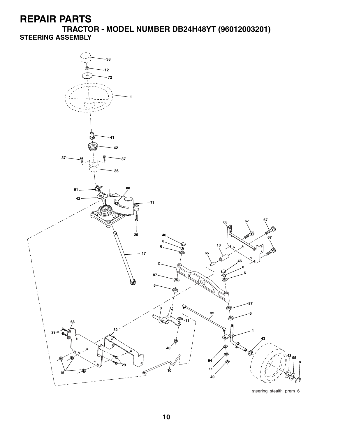**TRACTOR - MODEL NUMBER DB24H48YT (96012003201) STEERING ASSEMBLY**

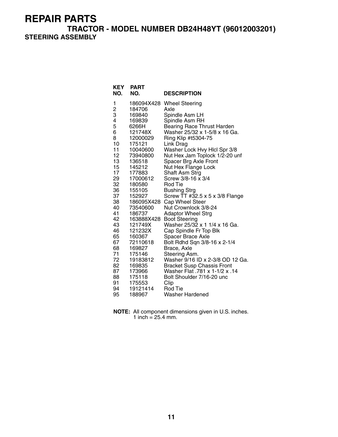**TRACTOR - MODEL NUMBER DB24H48YT (96012003201) STEERING ASSEMBLY**

| <b>KEY</b><br>NO. | <b>PART</b><br>NO. | <b>DESCRIPTION</b>                                                  |
|-------------------|--------------------|---------------------------------------------------------------------|
| 1                 | 186094X428         | <b>Wheel Steering</b>                                               |
| 2<br>3<br>4       | 184706             | Axle                                                                |
|                   | 169840             | Spindle Asm LH                                                      |
|                   | 169839             | Spindle Asm RH                                                      |
| 5                 | 6266H              | <b>Bearing Race Thrust Harden</b>                                   |
| 6                 | 121748X            | Washer 25/32 x 1-5/8 x 16 Ga.                                       |
| 8                 | 12000029           | Ring Klip #t5304-75                                                 |
| 10                | 175121             | Link Drag                                                           |
| 11                | 10040600           | Washer Lock Hvy Hlcl Spr 3/8                                        |
| 12<br>13          | 73940800           | Nut Hex Jam Toplock 1/2-20 unf                                      |
| 15                | 136518<br>145212   | Spacer Brg Axle Front<br>Nut Hex Flange Lock                        |
| 17                | 177883             | Shaft Asm Strg                                                      |
| 29                | 17000612           | Screw 3/8-16 x 3/4                                                  |
| 32                | 180580             | Rod Tie                                                             |
| 36                | 155105             | Bushing Strg                                                        |
| 37                | 152927             | Screw TT #32.5 x 5 x 3/8 Flange                                     |
| 38                | 186095X428         | Cap Wheel Steer                                                     |
| 40                | 73540600           | Nut Crownlock 3/8-24                                                |
| 41                | 186737             | <b>Adaptor Wheel Strg</b>                                           |
| 42                | 163888X428         | <b>Boot Steering</b>                                                |
| 43                | 121749X            | Washer 25/32 x 1 1/4 x 16 Ga.                                       |
| 46                | 121232X            | Cap Spindle Fr Top Blk                                              |
| 65                | 160367             | Spacer Brace Axle                                                   |
| 67                | 72110618           | Bolt Rdhd Sqn 3/8-16 x 2-1/4                                        |
| 68                | 169827             | Brace, Axle                                                         |
| 71<br>72          | 175146             | Steering Asm.<br>Washer 9/16 ID x 2-3/8 OD 12 Ga.                   |
| 82                | 19183812<br>169835 |                                                                     |
| 87                | 173966             | <b>Bracket Susp Chassis Front</b><br>Washer Flat .781 x 1-1/2 x .14 |
| 88                | 175118             | Bolt Shoulder 7/16-20 unc                                           |
| 91                | 175553             | Clip                                                                |
| 94                | 19121414           | Rod Tie                                                             |
| 95                | 188967             | <b>Washer Hardened</b>                                              |

**NOTE:** All component dimensions given in U.S. inches. 1 inch =  $25.4$  mm.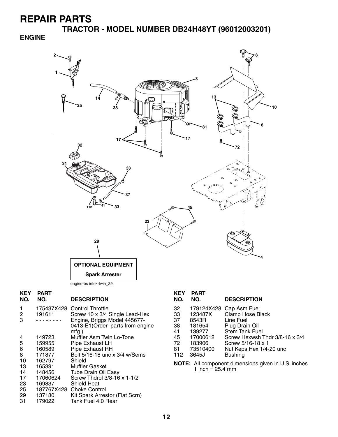**TRACTOR - MODEL NUMBER DB24H48YT (96012003201)**

#### **ENGINE**



| <b>KEY</b><br>NO. | PART<br>NO. | <b>DESCRIPTION</b>                                                           |
|-------------------|-------------|------------------------------------------------------------------------------|
| 1                 |             | 175437X428 Control Throttle                                                  |
| 2                 | 191611      | Screw 10 x 3/4 Single Lead-Hex                                               |
| 3                 |             | Engine, Briggs Model 445677-<br>0413-E1 (Order parts from engine<br>$mfg.$ ) |
| 4                 | 149723      | Muffler Asm Twin Lo-Tone                                                     |
| 5                 | 159955      | Pipe Exhaust LH                                                              |
| 6                 | 160589      | <b>Pipe Exhaust RH</b>                                                       |
| 8                 | 171877      | Bolt 5/16-18 unc x 3/4 w/Sems                                                |
| 10                | 162797      | Shield                                                                       |
| 13                | 165391      | <b>Muffler Gasket</b>                                                        |
| 14                | 148456      | <b>Tube Drain Oil Easy</b>                                                   |
| 17                | 17060624    | Screw Thdrol 3/8-16 x 1-1/2                                                  |
| 23                | 169837      | <b>Shield Heat</b>                                                           |
| 25                | 187767X428  | <b>Choke Control</b>                                                         |
| 29                | 137180      | Kit Spark Arrestor (Flat Scrn)                                               |
| 31                | 179022      | Tank Fuel 4.0 Rear                                                           |

| KEY<br>NO.                                                                        | PART<br>NO. | <b>DESCRIPTION</b>             |  |  |  |
|-----------------------------------------------------------------------------------|-------------|--------------------------------|--|--|--|
| 32                                                                                | 179124X428  | Cap Asm Fuel                   |  |  |  |
| 33                                                                                | 123487X     | Clamp Hose Black               |  |  |  |
| 37                                                                                | 8543R       | Line Fuel                      |  |  |  |
| 38                                                                                | 181654      | Plug Drain Oil                 |  |  |  |
| 41                                                                                | 139277      | <b>Stem Tank Fuel</b>          |  |  |  |
| 45                                                                                | 17000612    | Screw Hexwsh Thdr 3/8-16 x 3/4 |  |  |  |
| 72                                                                                | 183906      | Screw 5/16-18 x 1              |  |  |  |
| 81                                                                                | 73510400    | Nut Keps Hex 1/4-20 unc        |  |  |  |
| 112                                                                               | 3645J       | <b>Bushing</b>                 |  |  |  |
| NOTE: All component dimensions given in U.S. inches<br>1 inch = $25.4 \text{ mm}$ |             |                                |  |  |  |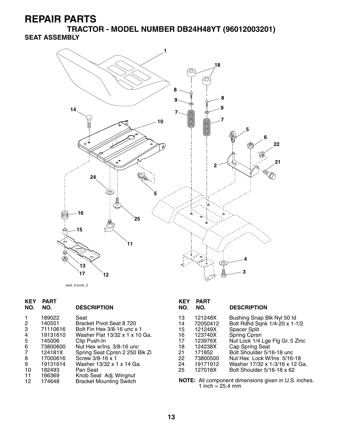**TRACTOR - MODEL NUMBER DB24H48YT (96012003201) SEAT ASSEMBLY**



**KEY PART DESCRIPTION KEY PART**  1 189022 Seat<br>
2 140551 Brack<br>
3 71110616 Bolt I<br>
4 19131610 Wask<br>
5 145006 Clip I<br>
6 73800600 Nut F<br>
7 124181X Sprin 140551 Bracket Pivot Seat 8 720<br>71110616 Bolt Fin Hex 3/8-16 unc x 13 71110616 Bolt Fin Hex 3/8-16 unc x 1<br>19131610 Washer Flat 13/32 x 1 x 10 4 19131610 Washer Flat 13/32 x 1 x 10 Ga. 145006 Clip Push-In<br>73800600 Nut Hex w/In 6 73800600 Nut Hex w/Ins. 3/8-16 unc 7 124181X Spring Seat Cprsn 2 250 Blk Zi 8 17000616 Screw 3/8-16 x 1 9 19131614 Washer 13/32 x 1 x 14 Ga.<br>10 182493 Pan Seat 10 182493 Pan Seat<br>11 166369 Knob Sea 11 166369 Knob Seat Adj. Wingnut 12 174648 Bracket Mounting Switch

| KEY<br>NO. | PART<br>NO. | <b>DESCRIPTION</b>              |
|------------|-------------|---------------------------------|
| 13         | 121248X     | Bushing Snap Blk Nyl 50 ld      |
| 14         | 72050412    | Bolt Rdhd Sqnk 1/4-20 x 1-1/2   |
| 15         | 121249X     | <b>Spacer Split</b>             |
| 16         | 123740X     | Spring Cprsn                    |
| 17         | 123976X     | Nut Lock 1/4 Lge Flg Gr. 5 Zinc |
| 18         | 124238X     | Cap Spring Seat                 |
| 21         | 171852      | Bolt Shoulder 5/16-18 unc       |
| 22         | 73800500    | Nut Hex Lock W/Ins 5/16-18      |
| 24         | 19171912    | Washer 17/32 x 1-3/16 x 12 Ga.  |
| 25         | 127018X     | Bolt Shoulder 5/16-18 x 62      |

**NOTE:** All component dimensions given in U.S. inches. 1 inch  $= 25.4$  mm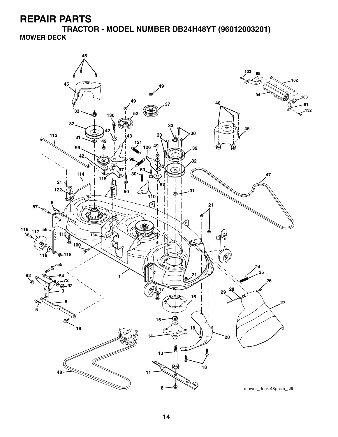**TRACTOR - MODEL NUMBER DB24H48YT (96012003201) MOWER DECK**

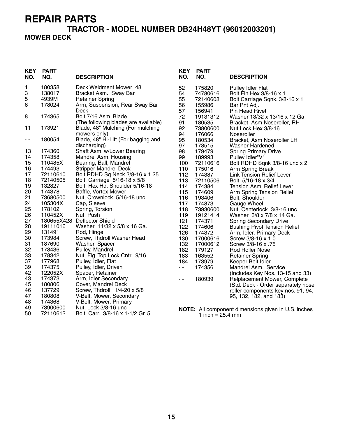#### **TRACTOR - MODEL NUMBER DB24H48YT (96012003201) MOWER DECK**

| <b>KEY</b><br>NO. | <b>PART</b><br>NO. | <b>DESCRIPTION</b>                                         | <b>KEY</b><br>NO. | <b>PART</b><br>NO.           | <b>DESCRIPTION</b>                                              |
|-------------------|--------------------|------------------------------------------------------------|-------------------|------------------------------|-----------------------------------------------------------------|
| 1<br>3            | 180358<br>138017   | Deck Weldment Mower 48<br>Bracket Asm., Sway Bar           | 52<br>54          | 175820<br>74780616           | <b>Pulley Idler Flat</b><br>Bolt Fin Hex 3/8-16 x 1             |
| 5                 | 4939M              | <b>Retainer Spring</b>                                     | 55                | 72140608                     | Bolt Carriage Sqnk. 3/8-16 x 1                                  |
| 6                 | 178024             | Arm, Suspension, Rear Sway Bar                             | 56                | 155986                       | Bar Pnt Adj.                                                    |
|                   |                    | Deck                                                       | 57                | 156941                       | <b>Pin Head Rivet</b>                                           |
| 8                 | 174365             | Bolt 7/16 Asm. Blade                                       | 72                | 19131312                     | Washer 13/32 x 13/16 x 12 Ga.                                   |
|                   |                    | (The following blades are available)                       | 91                | 180535                       | Bracket, Asm Noseroller, RH                                     |
| 11                | 173921             | Blade, 48" Mulching (For mulching                          | 92                | 73800600                     | Nut Lock Hex 3/8-16                                             |
|                   |                    | mowers only)                                               | 94                | 176066                       | Noseroller                                                      |
| - -               | 180054             | Blade, 48" Hi-Lift (For bagging and                        | 95                | 180534                       | Bracket, Asm Noseroller LH                                      |
| 13                | 174360             | discharging)<br>Shaft Asm. w/Lower Bearing                 | 97<br>98          | 178515                       | <b>Washer Hardened</b>                                          |
| 14                | 174358             | Mandrel Asm. Housing                                       | 99                | 179479<br>189993             | <b>Spring Primary Drive</b><br>Pulley Idler"V"                  |
| 15                | 110485X            | Bearing, Ball, Mandrel                                     | 100               | 72110616                     | Bolt RDHD Sqnk 3/8-16 unc x 2                                   |
| 16                | 174493             | <b>Stripper Mandrel Deck</b>                               | 110               | 175016                       | Arm Spring Break                                                |
| 17                | 72110610           | Bolt RDHD Sq Neck 3/8-16 x 1.25                            | 112               | 174387                       | <b>Link Tension Relief Lever</b>                                |
| 18                | 72140505           | Bolt, Carriage 5/16-18 x 5/8                               | 113               | 72110506                     | Bolt 5/16-18 x 3/4                                              |
| 19                | 132827             | Bolt, Hex Hd, Shoulder 5/16-18                             | 114               | 174384                       | Tension Asm. Relief Lever                                       |
| 20                | 174378             | Baffle, Vortex Mower                                       | 115               | 174609                       | Arm Spring Tension Relief                                       |
| 21                | 73680500           | Nut, Crownlock 5/16-18 unc                                 | 116               | 193406                       | Bolt, Shoulder                                                  |
| 24                | 105304X            | Cap, Sleeve                                                | 117               | 174873                       | Gauge Wheel                                                     |
| 25                | 178102             | Spring, Torsion                                            | 118               | 73930600                     | Nut, Centerlock 3/8-16 unc                                      |
| 26                | 110452X            | Nut, Push                                                  | 119               | 19121414                     | Washer 3/8 x 7/8 x 14 Ga.                                       |
| 27                | 19111016           | 180655X428 Deflector Shield<br>Washer 11/32 x 5/8 x 16 Ga. | 121<br>122        | 174371                       | <b>Spring Secondary Drive</b>                                   |
| 28<br>29          | 131491             | Rod, Hinge                                                 | 126               | 174606<br>174372             | <b>Bushing Pivot Tension Relief</b><br>Arm, Idler, Primary Deck |
| 30                | 173984             | Screw, Thdroll Washer Head                                 | 130               | 17000616                     | Screw 3/8-16 x 1.0                                              |
| 31                | 187690             | Washer, Spacer                                             | 132               | 17000612                     | Screw 3/8-16 x .75                                              |
| 32                | 173436             | Pulley, Mandrel                                            | 182               | 179127                       | <b>Rod Roller Nose</b>                                          |
| 33                | 178342             | Nut, Flg. Top Lock Cntr. 9/16                              | 183               | 163552                       | <b>Retainer Spring</b>                                          |
| 37                | 177968             | Pulley, Idler, Flat                                        | 184               | 173979                       | Keeper Belt Idler                                               |
| 39                | 174375             | Pulley, Idler, Driven                                      | $\sim$ $-$        | 174356                       | Mandrel Asm. Service                                            |
| 42                | 122052X            | Spacer, Retainer                                           |                   |                              | (Includes Key Nos. 13-15 and 33)                                |
| 43                | 174373             | Arm, Idler Secondary                                       | $\sim$ $\sim$     | 180939                       | Relplacement Mower, Complete                                    |
| 45                | 180806             | Cover, Mandrel Deck                                        |                   |                              | (Std. Deck - Order separately nose                              |
| 46                | 137729             | Screw, Thdroll. 1/4-20 x 5/8                               |                   |                              | roller components key nos. 91, 94,                              |
| 47                | 180808             | V-Belt, Mower, Secondary                                   |                   |                              | 95, 132, 182, and 183)                                          |
| 48<br>49          | 174368<br>73900600 | V-Belt, Mower, Primary<br>Nut, Lock 3/8-16 unc             |                   |                              |                                                                 |
| 50                | 72110612           | Bolt, Carr. 3/8-16 x 1-1/2 Gr. 5                           |                   | 1 inch = $25.4 \, \text{mm}$ | NOTE: All component dimensions given in U.S. inches             |